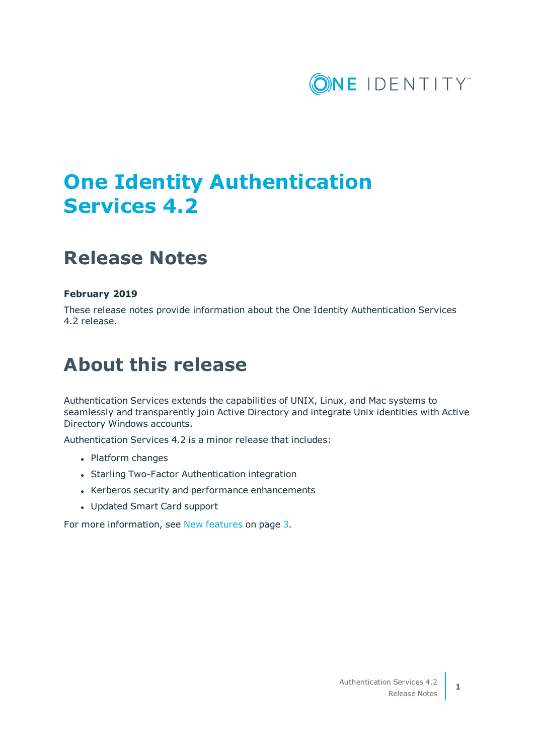

# **One Identity Authentication Services 4.2**

## **Release Notes**

### **February 2019**

These release notes provide information about the One Identity Authentication Services 4.2 release.

## **About this release**

Authentication Services extends the capabilities of UNIX, Linux, and Mac systems to seamlessly and transparently join Active Directory and integrate Unix identities with Active Directory Windows accounts.

Authentication Services 4.2 is a minor release that includes:

- Platform changes
- Starling Two-Factor Authentication integration
- Kerberos security and performance enhancements
- Updated Smart Card support

For more [information,](#page-2-0) see New features on page 3.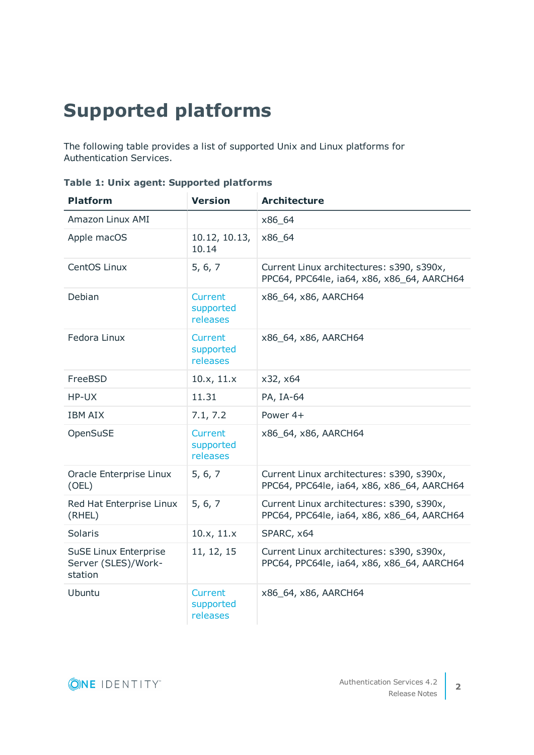# <span id="page-1-0"></span>**Supported platforms**

The following table provides a list of supported Unix and Linux platforms for Authentication Services.

| <b>Platform</b>                                                | <b>Version</b>                          | <b>Architecture</b>                                                                     |
|----------------------------------------------------------------|-----------------------------------------|-----------------------------------------------------------------------------------------|
| Amazon Linux AMI                                               |                                         | x86_64                                                                                  |
| Apple macOS                                                    | 10.12, 10.13,<br>10.14                  | x86_64                                                                                  |
| CentOS Linux                                                   | 5, 6, 7                                 | Current Linux architectures: s390, s390x,<br>PPC64, PPC64le, ia64, x86, x86_64, AARCH64 |
| Debian                                                         | Current<br>supported<br>releases        | x86_64, x86, AARCH64                                                                    |
| Fedora Linux                                                   | <b>Current</b><br>supported<br>releases | x86_64, x86, AARCH64                                                                    |
| FreeBSD                                                        | 10.x, 11.x                              | x32, x64                                                                                |
| HP-UX                                                          | 11.31                                   | PA, IA-64                                                                               |
| <b>IBM AIX</b>                                                 | 7.1, 7.2                                | Power 4+                                                                                |
| OpenSuSE                                                       | <b>Current</b><br>supported<br>releases | x86_64, x86, AARCH64                                                                    |
| Oracle Enterprise Linux<br>(OEL)                               | 5, 6, 7                                 | Current Linux architectures: s390, s390x,<br>PPC64, PPC64le, ia64, x86, x86_64, AARCH64 |
| Red Hat Enterprise Linux<br>(RHEL)                             | 5, 6, 7                                 | Current Linux architectures: s390, s390x,<br>PPC64, PPC64le, ia64, x86, x86_64, AARCH64 |
| Solaris                                                        | 10.x, 11.x                              | SPARC, x64                                                                              |
| <b>SuSE Linux Enterprise</b><br>Server (SLES)/Work-<br>station | 11, 12, 15                              | Current Linux architectures: s390, s390x,<br>PPC64, PPC64le, ia64, x86, x86_64, AARCH64 |
| Ubuntu                                                         | <b>Current</b><br>supported<br>releases | x86_64, x86, AARCH64                                                                    |

|  |  |  |  | Table 1: Unix agent: Supported platforms |  |
|--|--|--|--|------------------------------------------|--|
|--|--|--|--|------------------------------------------|--|

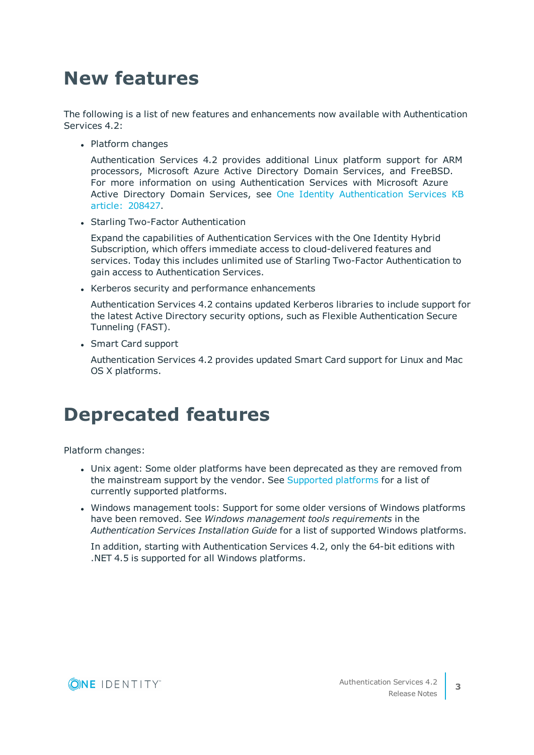# <span id="page-2-0"></span>**New features**

The following is a list of new features and enhancements now available with Authentication Services 4.2:

• Platform changes

Authentication Services 4.2 provides additional Linux platform support for ARM processors, Microsoft Azure Active Directory Domain Services, and FreeBSD. For more information on using Authentication Services with Microsoft Azure Active Directory Domain Services, see One Identity [Authentication](https://support.oneidentity.com/authentication-services/kb/208427/does-authentication-services-work-with-azure-active-directory-domain-services-) Services KB article: [208427.](https://support.oneidentity.com/authentication-services/kb/208427/does-authentication-services-work-with-azure-active-directory-domain-services-)

• Starling Two-Factor Authentication

Expand the capabilities of Authentication Services with the One Identity Hybrid Subscription, which offers immediate access to cloud-delivered features and services. Today this includes unlimited use of Starling Two-Factor Authentication to gain access to Authentication Services.

• Kerberos security and performance enhancements

Authentication Services 4.2 contains updated Kerberos libraries to include support for the latest Active Directory security options, such as Flexible Authentication Secure Tunneling (FAST).

• Smart Card support

Authentication Services 4.2 provides updated Smart Card support for Linux and Mac OS X platforms.

## **Deprecated features**

Platform changes:

- Unix agent: Some older platforms have been deprecated as they are removed from the mainstream support by the vendor. See [Supported](#page-1-0) platforms for a list of currently supported platforms.
- Windows management tools: Support for some older versions of Windows platforms have been removed. See *Windows management tools requirements* in the *Authentication Services Installation Guide* for a list of supported Windows platforms.

In addition, starting with Authentication Services 4.2, only the 64-bit editions with .NET 4.5 is supported for all Windows platforms.

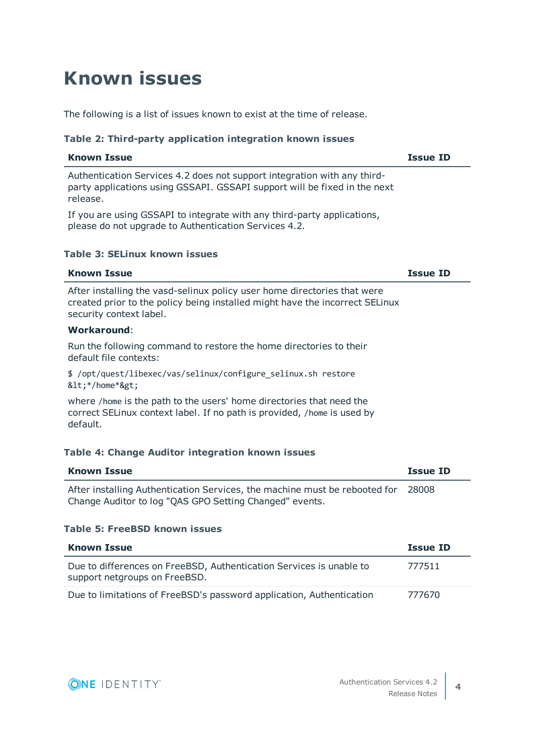# **Known issues**

The following is a list of issues known to exist at the time of release.

### **Table 2: Third-party application integration known issues**

| <b>Known Issue</b>                                                                                                                                                                  | <b>Issue ID</b> |
|-------------------------------------------------------------------------------------------------------------------------------------------------------------------------------------|-----------------|
| Authentication Services 4.2 does not support integration with any third-<br>party applications using GSSAPI. GSSAPI support will be fixed in the next<br>release.                   |                 |
| If you are using GSSAPI to integrate with any third-party applications,<br>please do not upgrade to Authentication Services 4.2.                                                    |                 |
| <b>Table 3: SELinux known issues</b>                                                                                                                                                |                 |
| <b>Known Issue</b>                                                                                                                                                                  | <b>Issue ID</b> |
| After installing the vasd-selinux policy user home directories that were<br>created prior to the policy being installed might have the incorrect SELinux<br>security context label. |                 |
| <b>Workaround:</b>                                                                                                                                                                  |                 |
| Run the following command to restore the home directories to their<br>default file contexts:                                                                                        |                 |
| \$ /opt/quest/libexec/vas/selinux/configure_selinux.sh restore<br><*/home*>                                                                                                         |                 |
| where /home is the path to the users' home directories that need the<br>correct SELinux context label. If no path is provided, /home is used by<br>default.                         |                 |
| Table 4: Change Auditor integration known issues                                                                                                                                    |                 |
| <b>Known Issue</b>                                                                                                                                                                  | <b>Issue ID</b> |
| After installing Authentication Services, the machine must be rebooted for<br>Change Auditor to log "QAS GPO Setting Changed" events.                                               | 28008           |
| <b>Table 5: FreeBSD known issues</b>                                                                                                                                                |                 |
| <b>Known Issue</b>                                                                                                                                                                  | <b>Issue ID</b> |
| Due to differences on FreeBSD, Authentication Services is unable to<br>support netgroups on FreeBSD.                                                                                | 777511          |

Due to limitations of FreeBSD's password application, Authentication 777670

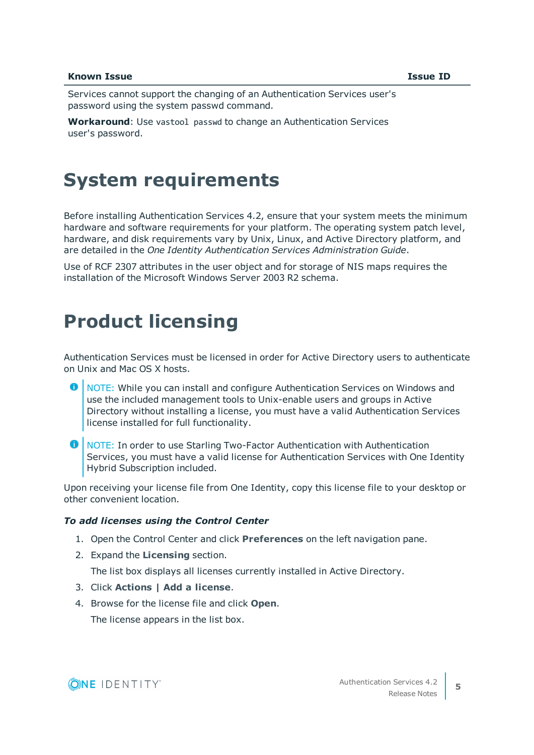#### **Known Issue Issue ID**

Services cannot support the changing of an Authentication Services user's password using the system passwd command.

**Workaround**: Use vastool passwd to change an Authentication Services user's password.

## **System requirements**

Before installing Authentication Services 4.2, ensure that your system meets the minimum hardware and software requirements for your platform. The operating system patch level, hardware, and disk requirements vary by Unix, Linux, and Active Directory platform, and are detailed in the *One Identity Authentication Services Administration Guide*.

Use of RCF 2307 attributes in the user object and for storage of NIS maps requires the installation of the Microsoft Windows Server 2003 R2 schema.

## **Product licensing**

Authentication Services must be licensed in order for Active Directory users to authenticate on Unix and Mac OS X hosts.

- 6 NOTE: While you can install and configure Authentication Services on Windows and use the included management tools to Unix-enable users and groups in Active Directory without installing a license, you must have a valid Authentication Services license installed for full functionality.
- **O** NOTE: In order to use Starling Two-Factor Authentication with Authentication Services, you must have a valid license for Authentication Services with One Identity Hybrid Subscription included.

Upon receiving your license file from One Identity, copy this license file to your desktop or other convenient location.

#### *To add licenses using the Control Center*

- 1. Open the Control Center and click **Preferences** on the left navigation pane.
- 2. Expand the **Licensing** section.

The list box displays all licenses currently installed in Active Directory.

- 3. Click **Actions | Add a license**.
- 4. Browse for the license file and click **Open**.

The license appears in the list box.

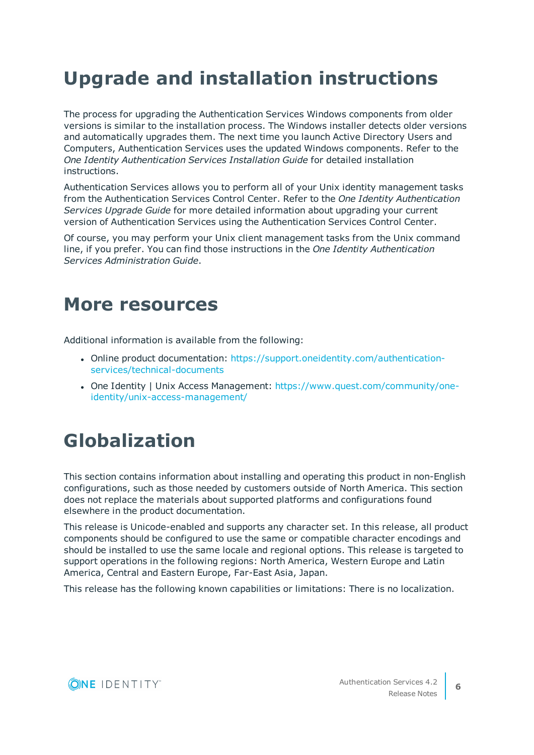# **Upgrade and installation instructions**

The process for upgrading the Authentication Services Windows components from older versions is similar to the installation process. The Windows installer detects older versions and automatically upgrades them. The next time you launch Active Directory Users and Computers, Authentication Services uses the updated Windows components. Refer to the *One Identity Authentication Services Installation Guide* for detailed installation instructions.

Authentication Services allows you to perform all of your Unix identity management tasks from the Authentication Services Control Center. Refer to the *One Identity Authentication Services Upgrade Guide* for more detailed information about upgrading your current version of Authentication Services using the Authentication Services Control Center.

Of course, you may perform your Unix client management tasks from the Unix command line, if you prefer. You can find those instructions in the *One Identity Authentication Services Administration Guide*.

## **More resources**

Additional information is available from the following:

- Online product documentation: [https://support.oneidentity.com/authentication](https://support.oneidentity.com/authentication-services/4.1.3/technical-documents)[services/technical-documents](https://support.oneidentity.com/authentication-services/4.1.3/technical-documents)
- One Identity | Unix Access Management: [https://www.quest.com/community/one](https://www.quest.com/community/one-identity/unix-access-management/)[identity/unix-access-management/](https://www.quest.com/community/one-identity/unix-access-management/)

# **Globalization**

This section contains information about installing and operating this product in non-English configurations, such as those needed by customers outside of North America. This section does not replace the materials about supported platforms and configurations found elsewhere in the product documentation.

This release is Unicode-enabled and supports any character set. In this release, all product components should be configured to use the same or compatible character encodings and should be installed to use the same locale and regional options. This release is targeted to support operations in the following regions: North America, Western Europe and Latin America, Central and Eastern Europe, Far-East Asia, Japan.

This release has the following known capabilities or limitations: There is no localization.

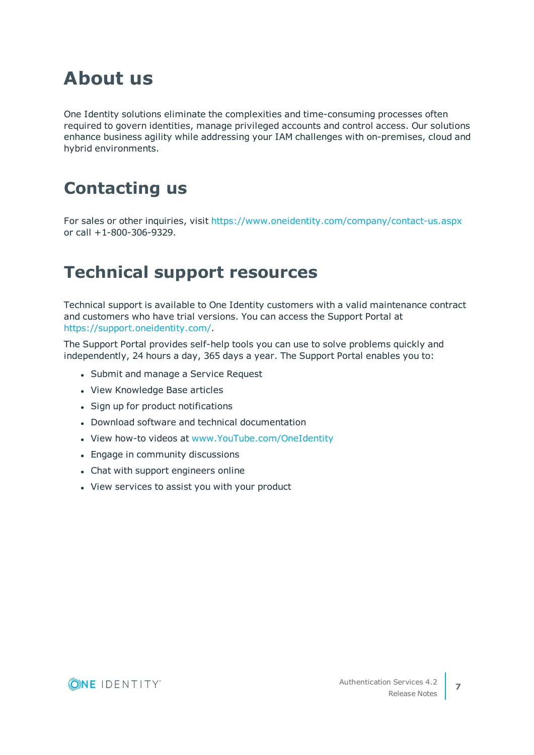# **About us**

One Identity solutions eliminate the complexities and time-consuming processes often required to govern identities, manage privileged accounts and control access. Our solutions enhance business agility while addressing your IAM challenges with on-premises, cloud and hybrid environments.

## **Contacting us**

For sales or other inquiries, visit <https://www.oneidentity.com/company/contact-us.aspx> or call +1-800-306-9329.

## **Technical support resources**

Technical support is available to One Identity customers with a valid maintenance contract and customers who have trial versions. You can access the Support Portal at [https://support.oneidentity.com/.](https://support.oneidentity.com/)

The Support Portal provides self-help tools you can use to solve problems quickly and independently, 24 hours a day, 365 days a year. The Support Portal enables you to:

- Submit and manage a Service Request
- View Knowledge Base articles
- Sign up for product notifications
- Download software and technical documentation
- View how-to videos at [www.YouTube.com/OneIdentity](https://www.youtube.com/OneIdentity)
- Engage in community discussions
- Chat with support engineers online
- View services to assist you with your product

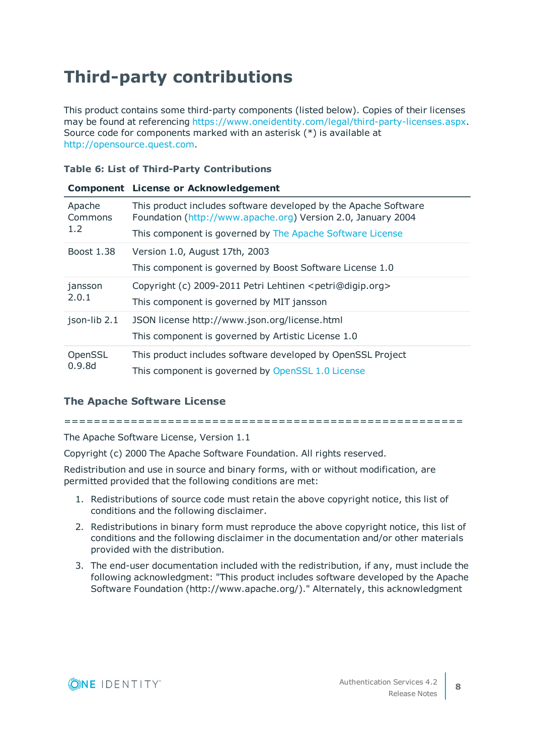## **Third-party contributions**

This product contains some third-party components (listed below). Copies of their licenses may be found at referencing [https://www.oneidentity.com/legal/third-party-licenses.aspx.](https://www.oneidentity.com/legal/third-party-licenses.aspx) Source code for components marked with an asterisk (\*) is available at [http://opensource.quest.com.](http://opensource.quest.com/)

### **Table 6: List of Third-Party Contributions**

|              | <b>Component License or Acknowledgement</b>                                                         |
|--------------|-----------------------------------------------------------------------------------------------------|
| Apache       | This product includes software developed by the Apache Software                                     |
| Commons      | Foundation (http://www.apache.org) Version 2.0, January 2004                                        |
| 1.2          | This component is governed by The Apache Software License                                           |
| Boost 1.38   | Version 1.0, August 17th, 2003<br>This component is governed by Boost Software License 1.0          |
| jansson      | Copyright (c) 2009-2011 Petri Lehtinen <petri@digip.org></petri@digip.org>                          |
| 2.0.1        | This component is governed by MIT jansson                                                           |
| json-lib 2.1 | JSON license http://www.json.org/license.html<br>This component is governed by Artistic License 1.0 |
| OpenSSL      | This product includes software developed by OpenSSL Project                                         |
| 0.9.8d       | This component is governed by OpenSSL 1.0 License                                                   |

### <span id="page-7-0"></span>**The Apache Software License**

======================================================

The Apache Software License, Version 1.1

Copyright (c) 2000 The Apache Software Foundation. All rights reserved.

Redistribution and use in source and binary forms, with or without modification, are permitted provided that the following conditions are met:

- 1. Redistributions of source code must retain the above copyright notice, this list of conditions and the following disclaimer.
- 2. Redistributions in binary form must reproduce the above copyright notice, this list of conditions and the following disclaimer in the documentation and/or other materials provided with the distribution.
- 3. The end-user documentation included with the redistribution, if any, must include the following acknowledgment: "This product includes software developed by the Apache Software Foundation (http://www.apache.org/)." Alternately, this acknowledgment

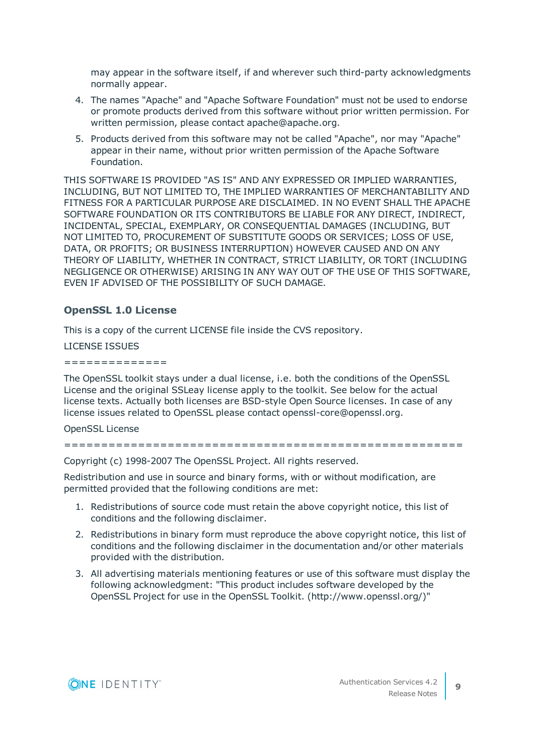may appear in the software itself, if and wherever such third-party acknowledgments normally appear.

- 4. The names "Apache" and "Apache Software Foundation" must not be used to endorse or promote products derived from this software without prior written permission. For written permission, please contact apache@apache.org.
- 5. Products derived from this software may not be called "Apache", nor may "Apache" appear in their name, without prior written permission of the Apache Software Foundation.

THIS SOFTWARE IS PROVIDED "AS IS" AND ANY EXPRESSED OR IMPLIED WARRANTIES, INCLUDING, BUT NOT LIMITED TO, THE IMPLIED WARRANTIES OF MERCHANTABILITY AND FITNESS FOR A PARTICULAR PURPOSE ARE DISCLAIMED. IN NO EVENT SHALL THE APACHE SOFTWARE FOUNDATION OR ITS CONTRIBUTORS BE LIABLE FOR ANY DIRECT, INDIRECT, INCIDENTAL, SPECIAL, EXEMPLARY, OR CONSEQUENTIAL DAMAGES (INCLUDING, BUT NOT LIMITED TO, PROCUREMENT OF SUBSTITUTE GOODS OR SERVICES; LOSS OF USE, DATA, OR PROFITS; OR BUSINESS INTERRUPTION) HOWEVER CAUSED AND ON ANY THEORY OF LIABILITY, WHETHER IN CONTRACT, STRICT LIABILITY, OR TORT (INCLUDING NEGLIGENCE OR OTHERWISE) ARISING IN ANY WAY OUT OF THE USE OF THIS SOFTWARE, EVEN IF ADVISED OF THE POSSIBILITY OF SUCH DAMAGE.

### <span id="page-8-0"></span>**OpenSSL 1.0 License**

This is a copy of the current LICENSE file inside the CVS repository.

### LICENSE ISSUES

==============

The OpenSSL toolkit stays under a dual license, i.e. both the conditions of the OpenSSL License and the original SSLeay license apply to the toolkit. See below for the actual license texts. Actually both licenses are BSD-style Open Source licenses. In case of any license issues related to OpenSSL please contact openssl-core@openssl.org.

OpenSSL License

======================================================

Copyright (c) 1998-2007 The OpenSSL Project. All rights reserved.

Redistribution and use in source and binary forms, with or without modification, are permitted provided that the following conditions are met:

- 1. Redistributions of source code must retain the above copyright notice, this list of conditions and the following disclaimer.
- 2. Redistributions in binary form must reproduce the above copyright notice, this list of conditions and the following disclaimer in the documentation and/or other materials provided with the distribution.
- 3. All advertising materials mentioning features or use of this software must display the following acknowledgment: "This product includes software developed by the OpenSSL Project for use in the OpenSSL Toolkit. (http://www.openssl.org/)"

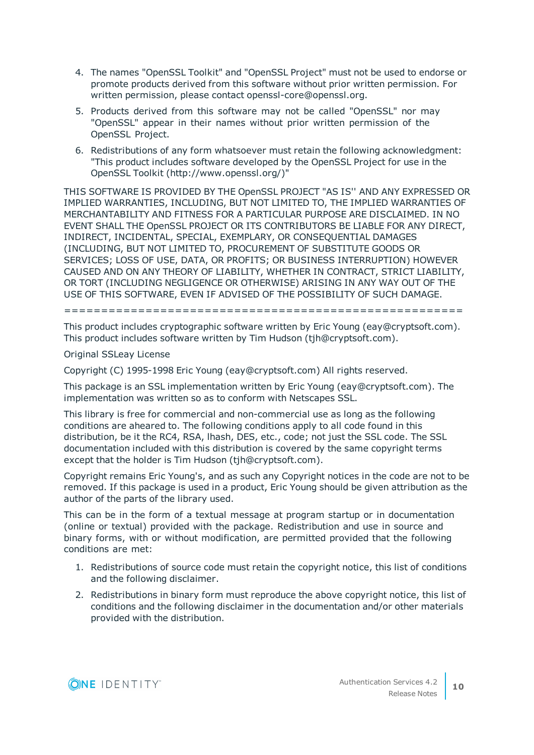- 4. The names "OpenSSL Toolkit" and "OpenSSL Project" must not be used to endorse or promote products derived from this software without prior written permission. For written permission, please contact openssl-core@openssl.org.
- 5. Products derived from this software may not be called "OpenSSL" nor may "OpenSSL" appear in their names without prior written permission of the OpenSSL Project.
- 6. Redistributions of any form whatsoever must retain the following acknowledgment: "This product includes software developed by the OpenSSL Project for use in the OpenSSL Toolkit (http://www.openssl.org/)"

THIS SOFTWARE IS PROVIDED BY THE OpenSSL PROJECT "AS IS'' AND ANY EXPRESSED OR IMPLIED WARRANTIES, INCLUDING, BUT NOT LIMITED TO, THE IMPLIED WARRANTIES OF MERCHANTABILITY AND FITNESS FOR A PARTICULAR PURPOSE ARE DISCLAIMED. IN NO EVENT SHALL THE OpenSSL PROJECT OR ITS CONTRIBUTORS BE LIABLE FOR ANY DIRECT, INDIRECT, INCIDENTAL, SPECIAL, EXEMPLARY, OR CONSEQUENTIAL DAMAGES (INCLUDING, BUT NOT LIMITED TO, PROCUREMENT OF SUBSTITUTE GOODS OR SERVICES; LOSS OF USE, DATA, OR PROFITS; OR BUSINESS INTERRUPTION) HOWEVER CAUSED AND ON ANY THEORY OF LIABILITY, WHETHER IN CONTRACT, STRICT LIABILITY, OR TORT (INCLUDING NEGLIGENCE OR OTHERWISE) ARISING IN ANY WAY OUT OF THE USE OF THIS SOFTWARE, EVEN IF ADVISED OF THE POSSIBILITY OF SUCH DAMAGE.

======================================================

This product includes cryptographic software written by Eric Young (eay@cryptsoft.com). This product includes software written by Tim Hudson (tjh@cryptsoft.com).

Original SSLeay License

Copyright (C) 1995-1998 Eric Young (eay@cryptsoft.com) All rights reserved.

This package is an SSL implementation written by Eric Young (eay@cryptsoft.com). The implementation was written so as to conform with Netscapes SSL.

This library is free for commercial and non-commercial use as long as the following conditions are aheared to. The following conditions apply to all code found in this distribution, be it the RC4, RSA, lhash, DES, etc., code; not just the SSL code. The SSL documentation included with this distribution is covered by the same copyright terms except that the holder is Tim Hudson (tjh@cryptsoft.com).

Copyright remains Eric Young's, and as such any Copyright notices in the code are not to be removed. If this package is used in a product, Eric Young should be given attribution as the author of the parts of the library used.

This can be in the form of a textual message at program startup or in documentation (online or textual) provided with the package. Redistribution and use in source and binary forms, with or without modification, are permitted provided that the following conditions are met:

- 1. Redistributions of source code must retain the copyright notice, this list of conditions and the following disclaimer.
- 2. Redistributions in binary form must reproduce the above copyright notice, this list of conditions and the following disclaimer in the documentation and/or other materials provided with the distribution.

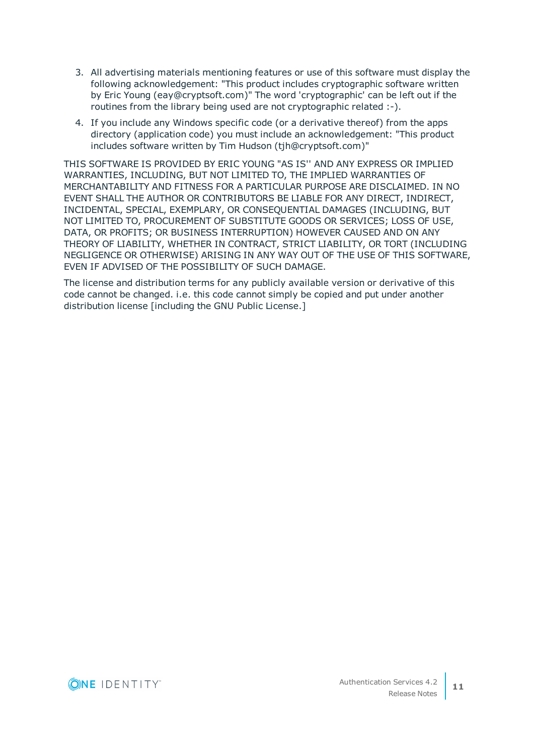- 3. All advertising materials mentioning features or use of this software must display the following acknowledgement: "This product includes cryptographic software written by Eric Young (eay@cryptsoft.com)" The word 'cryptographic' can be left out if the routines from the library being used are not cryptographic related :-).
- 4. If you include any Windows specific code (or a derivative thereof) from the apps directory (application code) you must include an acknowledgement: "This product includes software written by Tim Hudson (tjh@cryptsoft.com)"

THIS SOFTWARE IS PROVIDED BY ERIC YOUNG "AS IS'' AND ANY EXPRESS OR IMPLIED WARRANTIES, INCLUDING, BUT NOT LIMITED TO, THE IMPLIED WARRANTIES OF MERCHANTABILITY AND FITNESS FOR A PARTICULAR PURPOSE ARE DISCLAIMED. IN NO EVENT SHALL THE AUTHOR OR CONTRIBUTORS BE LIABLE FOR ANY DIRECT, INDIRECT, INCIDENTAL, SPECIAL, EXEMPLARY, OR CONSEQUENTIAL DAMAGES (INCLUDING, BUT NOT LIMITED TO, PROCUREMENT OF SUBSTITUTE GOODS OR SERVICES; LOSS OF USE, DATA, OR PROFITS; OR BUSINESS INTERRUPTION) HOWEVER CAUSED AND ON ANY THEORY OF LIABILITY, WHETHER IN CONTRACT, STRICT LIABILITY, OR TORT (INCLUDING NEGLIGENCE OR OTHERWISE) ARISING IN ANY WAY OUT OF THE USE OF THIS SOFTWARE, EVEN IF ADVISED OF THE POSSIBILITY OF SUCH DAMAGE.

The license and distribution terms for any publicly available version or derivative of this code cannot be changed. i.e. this code cannot simply be copied and put under another distribution license [including the GNU Public License.]